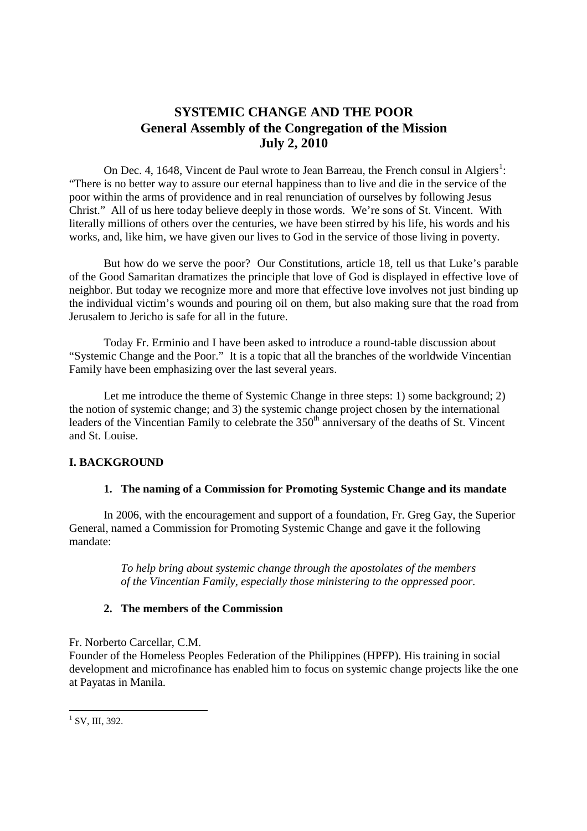# **SYSTEMIC CHANGE AND THE POOR General Assembly of the Congregation of the Mission July 2, 2010**

On Dec. 4, 1648, Vincent de Paul wrote to Jean Barreau, the French consul in Algiers<sup>1</sup>: "There is no better way to assure our eternal happiness than to live and die in the service of the poor within the arms of providence and in real renunciation of ourselves by following Jesus Christ." All of us here today believe deeply in those words. We're sons of St. Vincent. With literally millions of others over the centuries, we have been stirred by his life, his words and his works, and, like him, we have given our lives to God in the service of those living in poverty.

But how do we serve the poor? Our Constitutions, article 18, tell us that Luke's parable of the Good Samaritan dramatizes the principle that love of God is displayed in effective love of neighbor. But today we recognize more and more that effective love involves not just binding up the individual victim's wounds and pouring oil on them, but also making sure that the road from Jerusalem to Jericho is safe for all in the future.

Today Fr. Erminio and I have been asked to introduce a round-table discussion about "Systemic Change and the Poor." It is a topic that all the branches of the worldwide Vincentian Family have been emphasizing over the last several years.

Let me introduce the theme of Systemic Change in three steps: 1) some background: 2) the notion of systemic change; and 3) the systemic change project chosen by the international leaders of the Vincentian Family to celebrate the 350<sup>th</sup> anniversary of the deaths of St. Vincent and St. Louise.

## **I. BACKGROUND**

### **1. The naming of a Commission for Promoting Systemic Change and its mandate**

In 2006, with the encouragement and support of a foundation, Fr. Greg Gay, the Superior General, named a Commission for Promoting Systemic Change and gave it the following mandate:

> *To help bring about systemic change through the apostolates of the members of the Vincentian Family, especially those ministering to the oppressed poor.*

### **2. The members of the Commission**

Fr. Norberto Carcellar, C.M. Founder of the Homeless Peoples Federation of the Philippines (HPFP). His training in social development and microfinance has enabled him to focus on systemic change projects like the one at Payatas in Manila.

 $\frac{1}{1}$  SV, III, 392.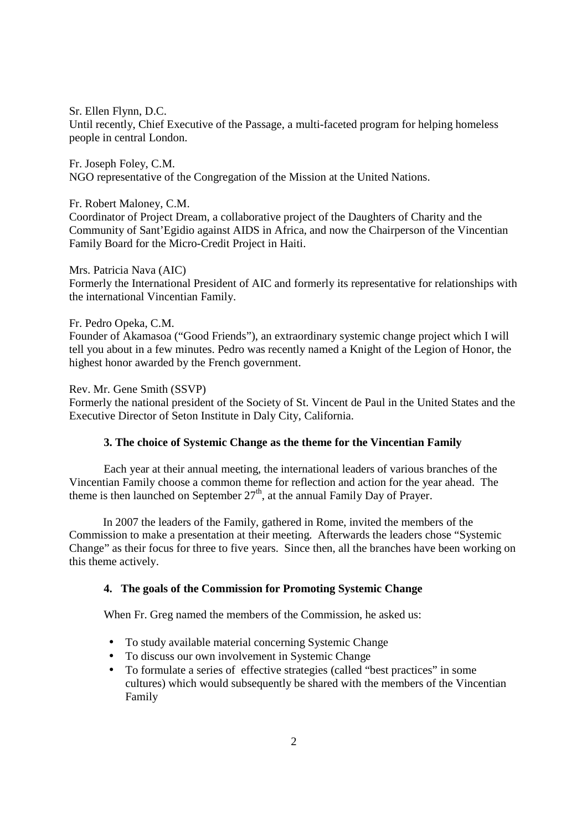Sr. Ellen Flynn, D.C.

Until recently, Chief Executive of the Passage, a multi-faceted program for helping homeless people in central London.

Fr. Joseph Foley, C.M. NGO representative of the Congregation of the Mission at the United Nations.

Fr. Robert Maloney, C.M. Coordinator of Project Dream, a collaborative project of the Daughters of Charity and the Community of Sant'Egidio against AIDS in Africa, and now the Chairperson of the Vincentian Family Board for the Micro-Credit Project in Haiti.

### Mrs. Patricia Nava (AIC)

Formerly the International President of AIC and formerly its representative for relationships with the international Vincentian Family.

### Fr. Pedro Opeka, C.M.

Founder of Akamasoa ("Good Friends"), an extraordinary systemic change project which I will tell you about in a few minutes. Pedro was recently named a Knight of the Legion of Honor, the highest honor awarded by the French government.

Rev. Mr. Gene Smith (SSVP)

Formerly the national president of the Society of St. Vincent de Paul in the United States and the Executive Director of Seton Institute in Daly City, California.

### **3. The choice of Systemic Change as the theme for the Vincentian Family**

 Each year at their annual meeting, the international leaders of various branches of the Vincentian Family choose a common theme for reflection and action for the year ahead. The theme is then launched on September  $27<sup>th</sup>$ , at the annual Family Day of Prayer.

In 2007 the leaders of the Family, gathered in Rome, invited the members of the Commission to make a presentation at their meeting. Afterwards the leaders chose "Systemic Change" as their focus for three to five years. Since then, all the branches have been working on this theme actively.

### **4. The goals of the Commission for Promoting Systemic Change**

When Fr. Greg named the members of the Commission, he asked us:

- To study available material concerning Systemic Change
- To discuss our own involvement in Systemic Change
- To formulate a series of effective strategies (called "best practices" in some cultures) which would subsequently be shared with the members of the Vincentian Family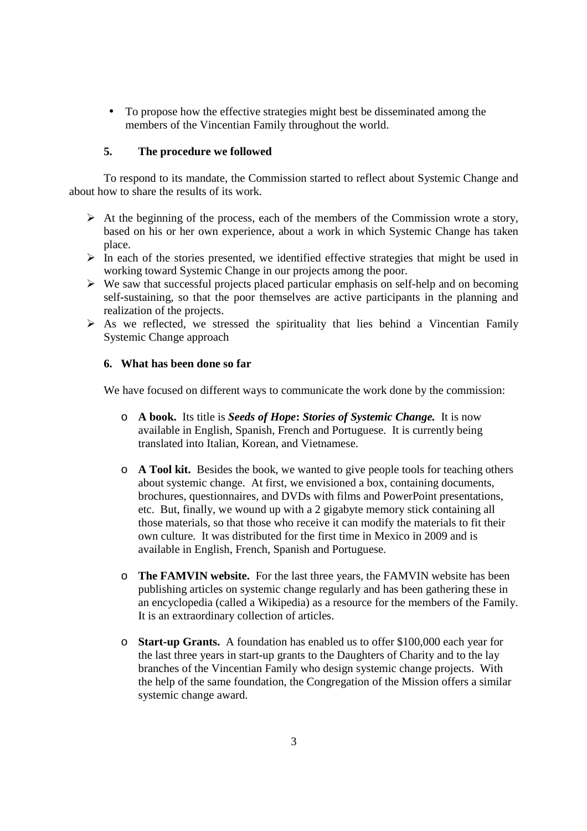• To propose how the effective strategies might best be disseminated among the members of the Vincentian Family throughout the world.

### **5. The procedure we followed**

 To respond to its mandate, the Commission started to reflect about Systemic Change and about how to share the results of its work.

- $\triangleright$  At the beginning of the process, each of the members of the Commission wrote a story, based on his or her own experience, about a work in which Systemic Change has taken place.
- $\triangleright$  In each of the stories presented, we identified effective strategies that might be used in working toward Systemic Change in our projects among the poor.
- $\triangleright$  We saw that successful projects placed particular emphasis on self-help and on becoming self-sustaining, so that the poor themselves are active participants in the planning and realization of the projects.
- $\triangleright$  As we reflected, we stressed the spirituality that lies behind a Vincentian Family Systemic Change approach

### **6. What has been done so far**

We have focused on different ways to communicate the work done by the commission:

- o **A book.** Its title is *Seeds of Hope***:** *Stories of Systemic Change.* It is now available in English, Spanish, French and Portuguese. It is currently being translated into Italian, Korean, and Vietnamese.
- o **A Tool kit.** Besides the book, we wanted to give people tools for teaching others about systemic change. At first, we envisioned a box, containing documents, brochures, questionnaires, and DVDs with films and PowerPoint presentations, etc. But, finally, we wound up with a 2 gigabyte memory stick containing all those materials, so that those who receive it can modify the materials to fit their own culture. It was distributed for the first time in Mexico in 2009 and is available in English, French, Spanish and Portuguese.
- o **The FAMVIN website.** For the last three years, the FAMVIN website has been publishing articles on systemic change regularly and has been gathering these in an encyclopedia (called a Wikipedia) as a resource for the members of the Family. It is an extraordinary collection of articles.
- o **Start-up Grants.** A foundation has enabled us to offer \$100,000 each year for the last three years in start-up grants to the Daughters of Charity and to the lay branches of the Vincentian Family who design systemic change projects. With the help of the same foundation, the Congregation of the Mission offers a similar systemic change award.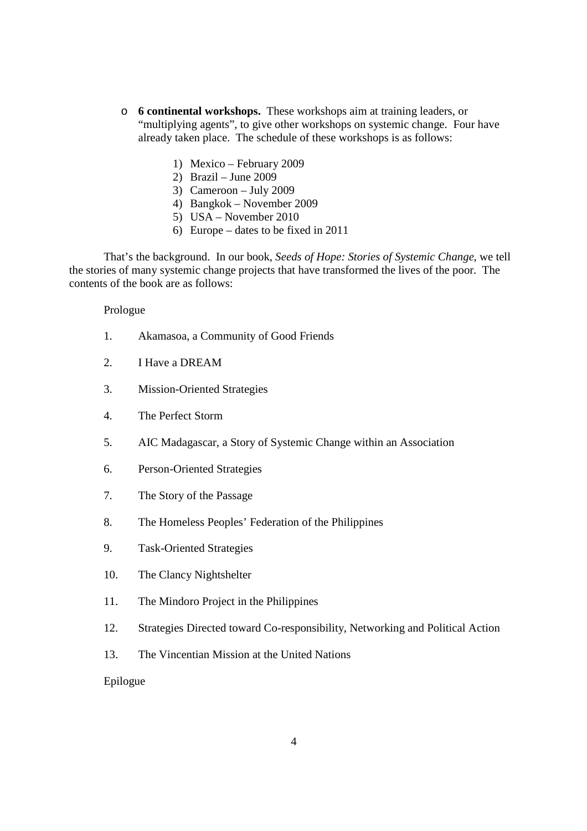- o **6 continental workshops.** These workshops aim at training leaders, or "multiplying agents", to give other workshops on systemic change. Four have already taken place. The schedule of these workshops is as follows:
	- 1) Mexico February 2009
	- 2) Brazil June 2009
	- 3) Cameroon July 2009
	- 4) Bangkok November 2009
	- 5) USA November 2010
	- 6) Europe dates to be fixed in 2011

 That's the background. In our book, *Seeds of Hope: Stories of Systemic Change*, we tell the stories of many systemic change projects that have transformed the lives of the poor. The contents of the book are as follows:

#### Prologue

- 1. Akamasoa, a Community of Good Friends
- 2. I Have a DREAM
- 3. Mission-Oriented Strategies
- 4. The Perfect Storm
- 5. AIC Madagascar, a Story of Systemic Change within an Association
- 6. Person-Oriented Strategies
- 7. The Story of the Passage
- 8. The Homeless Peoples' Federation of the Philippines
- 9. Task-Oriented Strategies
- 10. The Clancy Nightshelter
- 11. The Mindoro Project in the Philippines
- 12. Strategies Directed toward Co-responsibility, Networking and Political Action
- 13. The Vincentian Mission at the United Nations

Epilogue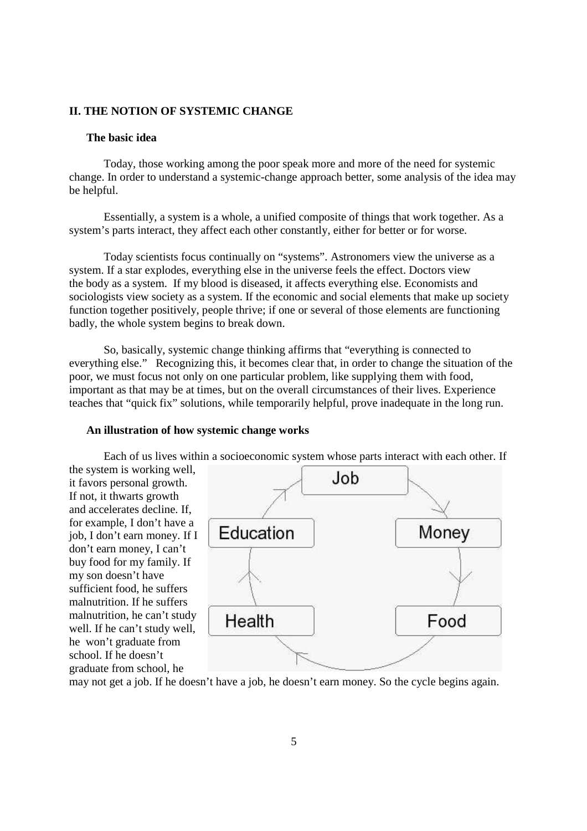### **II. THE NOTION OF SYSTEMIC CHANGE**

### **The basic idea**

Today, those working among the poor speak more and more of the need for systemic change. In order to understand a systemic-change approach better, some analysis of the idea may be helpful.

Essentially, a system is a whole, a unified composite of things that work together. As a system's parts interact, they affect each other constantly, either for better or for worse.

Today scientists focus continually on "systems". Astronomers view the universe as a system. If a star explodes, everything else in the universe feels the effect. Doctors view the body as a system. If my blood is diseased, it affects everything else. Economists and sociologists view society as a system. If the economic and social elements that make up society function together positively, people thrive; if one or several of those elements are functioning badly, the whole system begins to break down.

So, basically, systemic change thinking affirms that "everything is connected to everything else." Recognizing this, it becomes clear that, in order to change the situation of the poor, we must focus not only on one particular problem, like supplying them with food, important as that may be at times, but on the overall circumstances of their lives. Experience teaches that "quick fix" solutions, while temporarily helpful, prove inadequate in the long run.

#### **An illustration of how systemic change works**

Each of us lives within a socioeconomic system whose parts interact with each other. If the system is working well, Job it favors personal growth. If not, it thwarts growth and accelerates decline. If, for example, I don't have a Money Education job, I don't earn money. If I don't earn money, I can't buy food for my family. If my son doesn't have sufficient food, he suffers malnutrition. If he suffers malnutrition, he can't study Health Food well. If he can't study well, he won't graduate from school. If he doesn't graduate from school, he

may not get a job. If he doesn't have a job, he doesn't earn money. So the cycle begins again.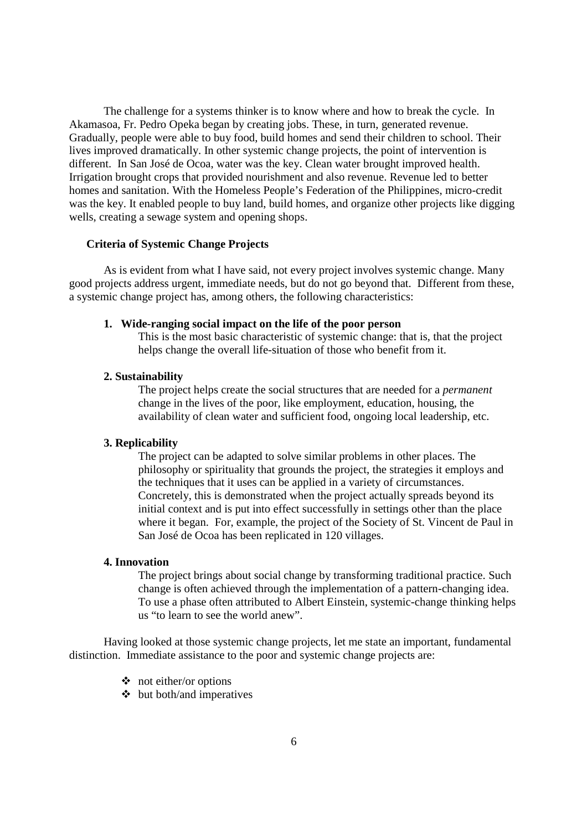The challenge for a systems thinker is to know where and how to break the cycle. In Akamasoa, Fr. Pedro Opeka began by creating jobs. These, in turn, generated revenue. Gradually, people were able to buy food, build homes and send their children to school. Their lives improved dramatically. In other systemic change projects, the point of intervention is different. In San José de Ocoa, water was the key. Clean water brought improved health. Irrigation brought crops that provided nourishment and also revenue. Revenue led to better homes and sanitation. With the Homeless People's Federation of the Philippines, micro-credit was the key. It enabled people to buy land, build homes, and organize other projects like digging wells, creating a sewage system and opening shops.

### **Criteria of Systemic Change Projects**

As is evident from what I have said, not every project involves systemic change. Many good projects address urgent, immediate needs, but do not go beyond that. Different from these, a systemic change project has, among others, the following characteristics:

#### **1. Wide-ranging social impact on the life of the poor person**

This is the most basic characteristic of systemic change: that is, that the project helps change the overall life-situation of those who benefit from it.

#### **2. Sustainability**

The project helps create the social structures that are needed for a *permanent* change in the lives of the poor, like employment, education, housing, the availability of clean water and sufficient food, ongoing local leadership, etc.

#### **3. Replicability**

The project can be adapted to solve similar problems in other places. The philosophy or spirituality that grounds the project, the strategies it employs and the techniques that it uses can be applied in a variety of circumstances. Concretely, this is demonstrated when the project actually spreads beyond its initial context and is put into effect successfully in settings other than the place where it began. For, example, the project of the Society of St. Vincent de Paul in San José de Ocoa has been replicated in 120 villages.

#### **4. Innovation**

The project brings about social change by transforming traditional practice. Such change is often achieved through the implementation of a pattern-changing idea. To use a phase often attributed to Albert Einstein, systemic-change thinking helps us "to learn to see the world anew".

Having looked at those systemic change projects, let me state an important, fundamental distinction. Immediate assistance to the poor and systemic change projects are:

- not either/or options
- but both/and imperatives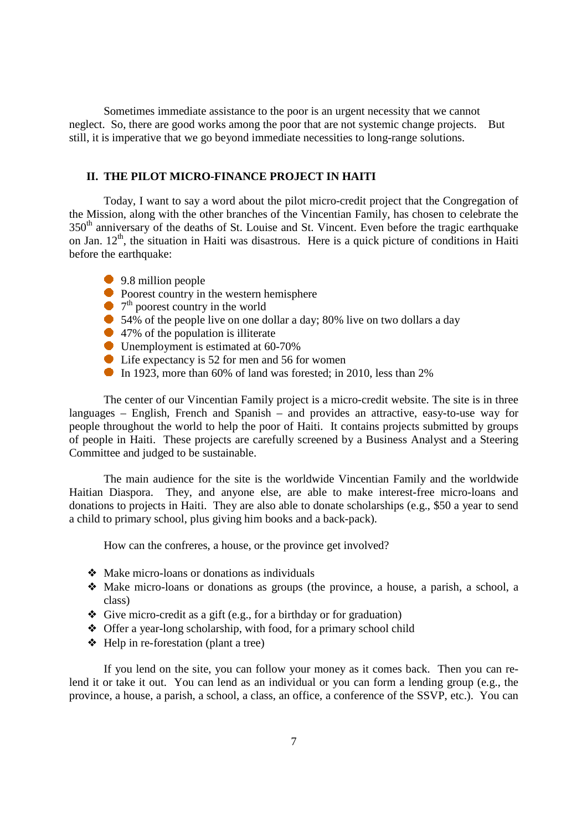Sometimes immediate assistance to the poor is an urgent necessity that we cannot neglect. So, there are good works among the poor that are not systemic change projects. But still, it is imperative that we go beyond immediate necessities to long-range solutions.

### **II. THE PILOT MICRO-FINANCE PROJECT IN HAITI**

Today, I want to say a word about the pilot micro-credit project that the Congregation of the Mission, along with the other branches of the Vincentian Family, has chosen to celebrate the 350<sup>th</sup> anniversary of the deaths of St. Louise and St. Vincent. Even before the tragic earthquake on Jan. 12<sup>th</sup>, the situation in Haiti was disastrous. Here is a quick picture of conditions in Haiti before the earthquake:

- 9.8 million people
- $\bullet$  Poorest country in the western hemisphere
- 7<sup>th</sup> poorest country in the world
- 54% of the people live on one dollar a day; 80% live on two dollars a day
- 47% of the population is illiterate
- Unemployment is estimated at 60-70%
- Life expectancy is 52 for men and 56 for women
- In 1923, more than 60% of land was forested; in 2010, less than  $2\%$

The center of our Vincentian Family project is a micro-credit website. The site is in three languages – English, French and Spanish – and provides an attractive, easy-to-use way for people throughout the world to help the poor of Haiti. It contains projects submitted by groups of people in Haiti. These projects are carefully screened by a Business Analyst and a Steering Committee and judged to be sustainable.

The main audience for the site is the worldwide Vincentian Family and the worldwide Haitian Diaspora. They, and anyone else, are able to make interest-free micro-loans and donations to projects in Haiti. They are also able to donate scholarships (e.g., \$50 a year to send a child to primary school, plus giving him books and a back-pack).

How can the confreres, a house, or the province get involved?

- ❖ Make micro-loans or donations as individuals
- ❖ Make micro-loans or donations as groups (the province, a house, a parish, a school, a class)
- ❖ Give micro-credit as a gift (e.g., for a birthday or for graduation)
- ❖ Offer a year-long scholarship, with food, for a primary school child
- ❖ Help in re-forestation (plant a tree)

If you lend on the site, you can follow your money as it comes back. Then you can relend it or take it out. You can lend as an individual or you can form a lending group (e.g., the province, a house, a parish, a school, a class, an office, a conference of the SSVP, etc.). You can